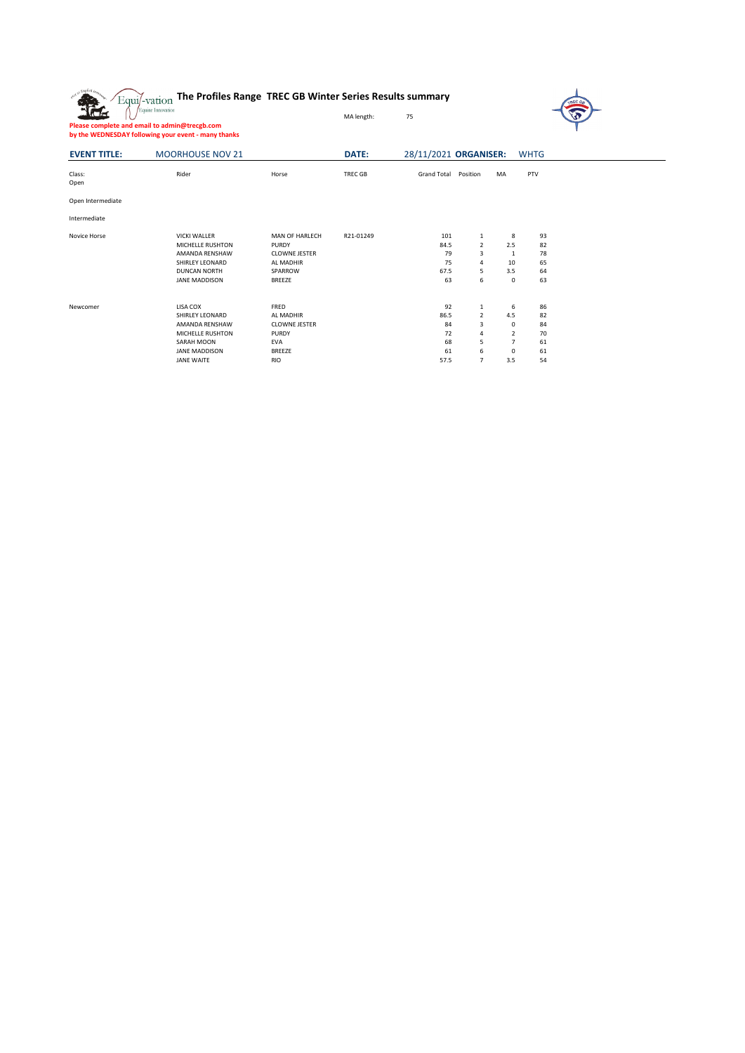|                     | The Profiles Range TREC GB Winter Series Results summary<br>Equi/-vation<br>Equine Innovation<br>Please complete and email to admin@trecgb.com<br>by the WEDNESDAY following your event - many thanks |                                                                                                 | MA length:     | <b>REC GI</b><br>75                        |                                              |                                                               |                                        |  |  |  |  |  |  |  |  |
|---------------------|-------------------------------------------------------------------------------------------------------------------------------------------------------------------------------------------------------|-------------------------------------------------------------------------------------------------|----------------|--------------------------------------------|----------------------------------------------|---------------------------------------------------------------|----------------------------------------|--|--|--|--|--|--|--|--|
| <b>EVENT TITLE:</b> | <b>MOORHOUSE NOV 21</b>                                                                                                                                                                               |                                                                                                 | DATE:          | 28/11/2021 ORGANISER:<br><b>WHTG</b>       |                                              |                                                               |                                        |  |  |  |  |  |  |  |  |
| Class:<br>Open      | Rider                                                                                                                                                                                                 | Horse                                                                                           | <b>TREC GB</b> | <b>Grand Total</b>                         | Position                                     | <b>MA</b>                                                     | PTV                                    |  |  |  |  |  |  |  |  |
| Open Intermediate   |                                                                                                                                                                                                       |                                                                                                 |                |                                            |                                              |                                                               |                                        |  |  |  |  |  |  |  |  |
| Intermediate        |                                                                                                                                                                                                       |                                                                                                 |                |                                            |                                              |                                                               |                                        |  |  |  |  |  |  |  |  |
| Novice Horse        | <b>VICKI WALLER</b><br>MICHELLE RUSHTON<br>AMANDA RENSHAW<br>SHIRLEY LEONARD<br><b>DUNCAN NORTH</b><br><b>JANE MADDISON</b>                                                                           | MAN OF HARLECH<br><b>PURDY</b><br><b>CLOWNE JESTER</b><br>AL MADHIR<br>SPARROW<br><b>BREEZE</b> | R21-01249      | 101<br>84.5<br>79<br>75<br>67.5<br>63      | $\mathbf{1}$<br>2<br>3<br>4<br>5<br>6        | 8<br>2.5<br>1<br>10<br>3.5<br>$\mathbf 0$                     | 93<br>82<br>78<br>65<br>64<br>63       |  |  |  |  |  |  |  |  |
| Newcomer            | LISA COX<br>SHIRLEY LEONARD<br>AMANDA RENSHAW<br>MICHELLE RUSHTON<br>SARAH MOON<br><b>JANE MADDISON</b><br><b>JANE WAITE</b>                                                                          | FRED<br>AL MADHIR<br><b>CLOWNE JESTER</b><br><b>PURDY</b><br>EVA<br><b>BREEZE</b><br><b>RIO</b> |                | 92<br>86.5<br>84<br>72<br>68<br>61<br>57.5 | 1<br>$\overline{2}$<br>3<br>4<br>5<br>6<br>7 | 6<br>4.5<br>0<br>$\overline{2}$<br>$\overline{7}$<br>0<br>3.5 | 86<br>82<br>84<br>70<br>61<br>61<br>54 |  |  |  |  |  |  |  |  |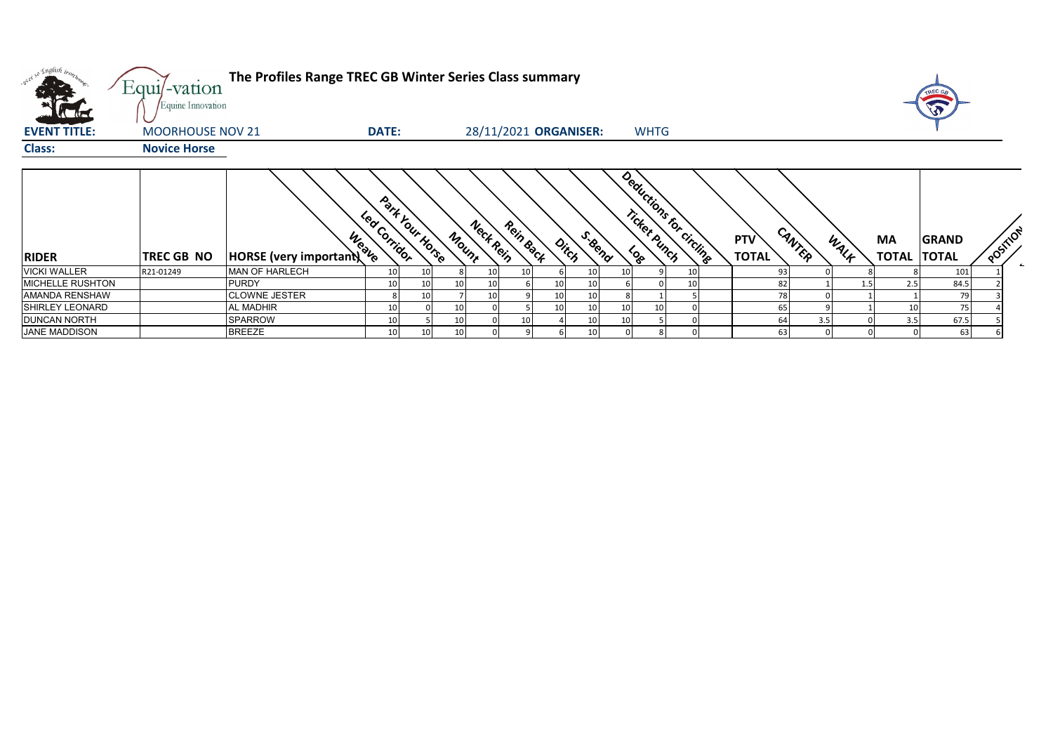| vi so English trong     | The Profiles Range TREC GB Winter Series Class summary<br>Equi/-vation<br>Equine Innovation |                                        |              |                 |       |           |           |    |                       |  |                         |    |  |                               |      | TREC GA<br>$\widehat{\widehat{\mathbf{v}}}$ |              |          |  |
|-------------------------|---------------------------------------------------------------------------------------------|----------------------------------------|--------------|-----------------|-------|-----------|-----------|----|-----------------------|--|-------------------------|----|--|-------------------------------|------|---------------------------------------------|--------------|----------|--|
| <b>EVENT TITLE:</b>     | <b>MOORHOUSE NOV 21</b>                                                                     |                                        | <b>DATE:</b> |                 |       |           |           |    | 28/11/2021 ORGANISER: |  | <b>WHTG</b>             |    |  |                               |      |                                             |              |          |  |
| <b>Class:</b>           | <b>Novice Horse</b>                                                                         |                                        |              |                 |       |           |           |    |                       |  |                         |    |  |                               |      |                                             |              |          |  |
|                         |                                                                                             |                                        |              |                 |       |           |           |    |                       |  |                         |    |  |                               |      |                                             |              |          |  |
| <b>RIDER</b>            | TREC GB NO                                                                                  | Weave<br><b>HORSE</b> (very important) | Led Corridor | Park Your Horse | Mount | Nect Rein | Rein Back |    | S. Bend<br>Ditch      |  | Deductions for circuits |    |  | CANTER<br>PTV<br><b>TOTAL</b> | WALF | МA<br><b>TOTAL TOTAL</b>                    | <b>GRAND</b> | POSITION |  |
| <b>VICKI WALLER</b>     | R21-01249                                                                                   | <b>MAN OF HARLECH</b>                  | 10           | 10 <sub>1</sub> |       |           |           |    |                       |  |                         |    |  | 93                            |      |                                             | 101          |          |  |
| <b>MICHELLE RUSHTON</b> |                                                                                             | <b>PURDY</b>                           | 10           | 10 <sup>1</sup> | 10    |           |           |    |                       |  |                         | 10 |  | -82                           |      | 2.5                                         | 84.5         |          |  |
| AMANDA RENSHAW          |                                                                                             | <b>CLOWNE JESTER</b>                   |              | 10              |       |           |           | 10 |                       |  |                         |    |  |                               |      |                                             | 79           |          |  |
| <b>SHIRLEY LEONARD</b>  |                                                                                             | <b>AL MADHIR</b>                       | 10           |                 | 10    |           |           |    |                       |  |                         |    |  | 65                            |      |                                             | 75           |          |  |
| <b>DUNCAN NORTH</b>     |                                                                                             | <b>SPARROW</b>                         | 10           |                 | 10    |           |           |    |                       |  |                         |    |  | 64<br>3.5                     |      | 3.5                                         | 67.5         |          |  |
| <b>JANE MADDISON</b>    |                                                                                             | <b>BREEZE</b>                          | 10           | 10              | 10    |           |           |    |                       |  |                         |    |  | 63                            |      |                                             | 63           |          |  |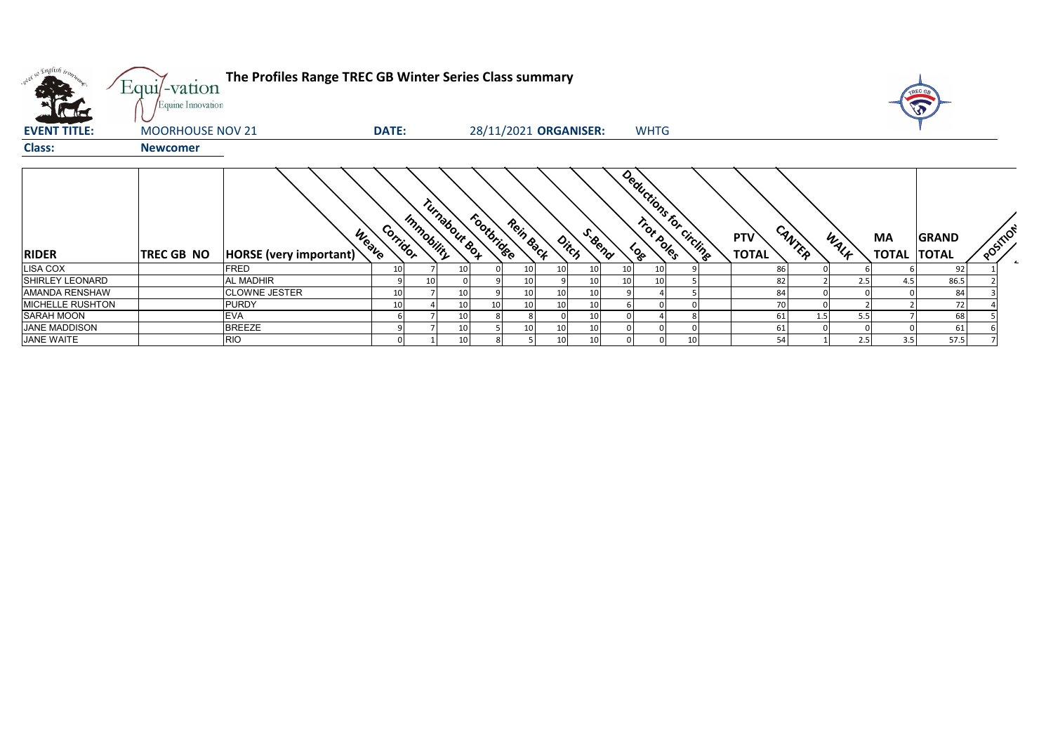| what so English trong<br><b>K</b> the | The Profiles Range TREC GB Winter Series Class summary<br>Equi/-vation<br>Equine Innovation |                                         |          |            |                |            |                 |                 |                       |    |             |                         |                            |           |      | <b>TREC G</b>      |                              |          |  |
|---------------------------------------|---------------------------------------------------------------------------------------------|-----------------------------------------|----------|------------|----------------|------------|-----------------|-----------------|-----------------------|----|-------------|-------------------------|----------------------------|-----------|------|--------------------|------------------------------|----------|--|
| <b>EVENT TITLE:</b>                   | <b>MOORHOUSE NOV 21</b>                                                                     |                                         | DATE:    |            |                |            |                 |                 | 28/11/2021 ORGANISER: |    | <b>WHTG</b> |                         |                            |           |      |                    |                              |          |  |
| <b>Class:</b>                         | <b>Newcomer</b>                                                                             |                                         |          |            |                |            |                 |                 |                       |    |             |                         |                            |           |      |                    |                              |          |  |
| <b>RIDER</b>                          | TREC GB NO                                                                                  | <b>Weatle</b><br>HORSE (very important) | Corridor | Immobility | Turnabour sort | Footbridge | Rein Back       |                 | S. Bend<br>Ditch      |    |             | Deductions for circling | <b>PTV</b><br><b>TOTAL</b> | CANTER    | WALK | MA<br><b>TOTAL</b> | <b>GRAND</b><br><b>TOTAL</b> | POSTILON |  |
| LISA COX                              |                                                                                             | <b>FRED</b>                             | 10       |            |                |            | 10              | 10              | 10                    | 10 |             |                         |                            | 86        |      |                    | 92                           |          |  |
| <b>SHIRLEY LEONARD</b>                |                                                                                             | <b>AL MADHIR</b>                        |          | 10         |                |            | 10              |                 | 10                    | 10 |             |                         |                            | 82        | 2.5  | 4.5                | 86.5                         |          |  |
| <b>AMANDA RENSHAW</b>                 |                                                                                             | <b>CLOWNE JESTER</b>                    | 10       |            |                |            | 10 <sup>1</sup> | 10              | 10                    |    |             |                         |                            | 84        |      |                    | 84                           |          |  |
| <b>MICHELLE RUSHTON</b>               |                                                                                             | <b>PURDY</b>                            | 10       |            |                |            | 10              | 10              | 10                    |    |             |                         |                            |           |      |                    | 72                           |          |  |
| SARAH MOON                            |                                                                                             | <b>EVA</b>                              |          |            |                |            |                 |                 | 10                    |    |             |                         |                            | 1.5<br>61 | 5.5  |                    | 68                           |          |  |
| JANE MADDISON                         |                                                                                             | <b>BREEZE</b>                           | Q        |            |                |            | 10 <sup>1</sup> | 10              | 10                    |    |             |                         |                            | 61        |      |                    | 61                           |          |  |
| <b>JANE WAITE</b>                     |                                                                                             | <b>RIO</b>                              |          |            | 10             |            |                 | 10 <sup>1</sup> | 10                    |    |             | 10                      |                            | 54        | 2.5  | 3.5                | 57.5                         |          |  |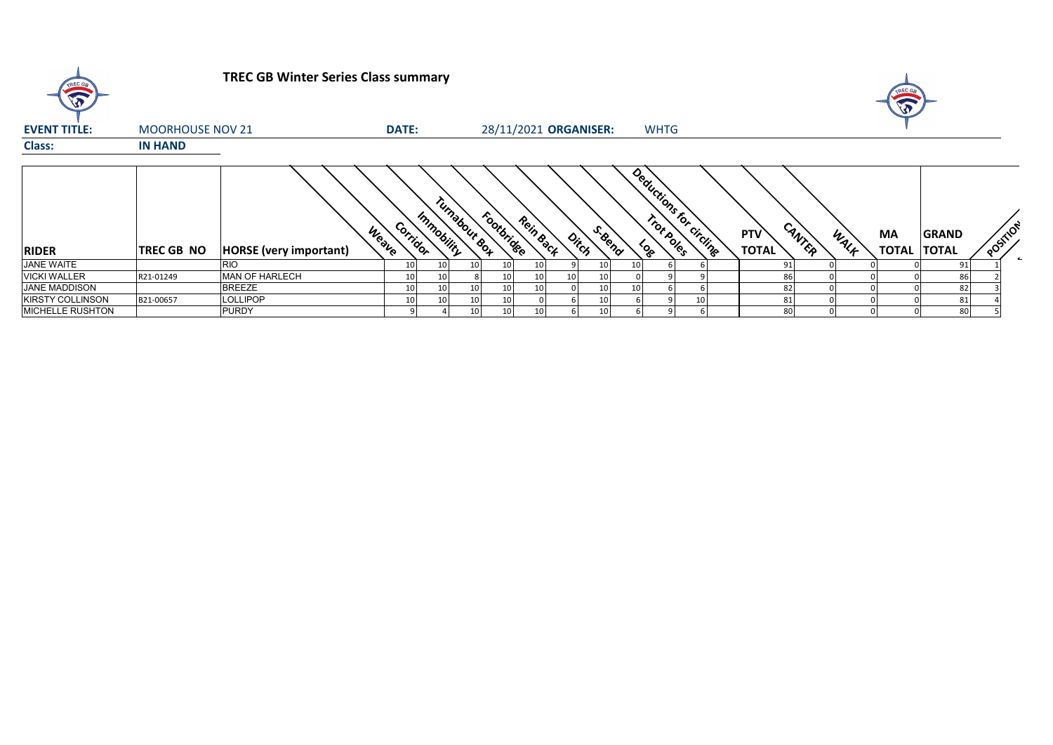| TREC GB                 |                         | <b>TREC GB Winter Series Class summary</b> |                        |                       |                 |           |    |                 |  |                         |                                      |      | A                  |                       |          |
|-------------------------|-------------------------|--------------------------------------------|------------------------|-----------------------|-----------------|-----------|----|-----------------|--|-------------------------|--------------------------------------|------|--------------------|-----------------------|----------|
| <b>EVENT TITLE:</b>     | <b>MOORHOUSE NOV 21</b> | <b>DATE:</b>                               |                        | 28/11/2021 ORGANISER: |                 |           |    | <b>WHTG</b>     |  |                         |                                      |      |                    |                       |          |
| Class:                  | <b>IN HAND</b>          |                                            |                        |                       |                 |           |    |                 |  |                         |                                      |      |                    |                       |          |
| <b>RIDER</b>            | <b>TREC GB NO</b>       | Weave<br><b>HORSE</b> (very important)     | Immobility<br>Corridor | Turnabour Box         | Footbrides      | Rein Back |    | S.Bend<br>Ditch |  | Deductions for circling | CANTER<br><b>PTV</b><br><b>TOTAL</b> | WALK | MA<br><b>TOTAL</b> | GRAND<br><b>TOTAL</b> | POSITION |
| <b>JANE WAITE</b>       |                         | <b>RIO</b>                                 | 10<br>10               |                       | 10              | 10        |    | 10              |  |                         |                                      |      |                    | 91                    |          |
| <b>VICKI WALLER</b>     | R21-01249               | <b>MAN OF HARLECH</b>                      | 10<br>10               |                       | 10              | 10        | 10 | 10              |  |                         | 86                                   |      |                    | 86                    |          |
| <b>JANE MADDISON</b>    |                         | <b>BREEZE</b>                              | 10<br>10               |                       | 10              | 10        |    | 10              |  |                         | 82                                   |      |                    | 82                    |          |
| <b>KIRSTY COLLINSON</b> | B21-00657               | <b>LOLLIPOP</b>                            | 10<br>10               |                       | 10              |           |    | 10              |  | 10                      | 81                                   |      |                    | 81                    |          |
| <b>MICHELLE RUSHTON</b> |                         | <b>PURDY</b>                               |                        |                       | 10 <sub>1</sub> | 10        |    |                 |  |                         | 80                                   |      |                    | 80                    |          |